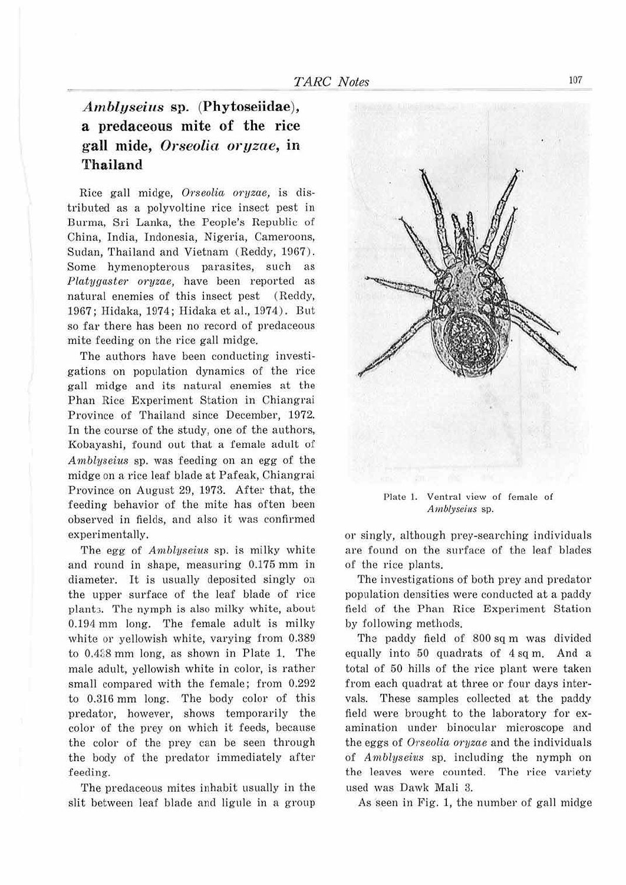## *Ambl11seius* **sp. (Phytoseiidae), a predaceous mite of the rice gall mide,** *Orseolia oryzae,* **in Thailand**

Rice gall midge, Orseolia oryzae, is distributed as a polyvoltine rice insect pest in Burma, Sri Lanka, the People's Republic of China, India, Indonesia, Nigeria, Cameroons, Sudan, Thailand and Vietnam (Reddy, 1967). Some hymenopterous parasites, such as *Platygaster oryzae*, have been reported as natural enemies of this insect pest (Reddy, 1967; Hidaka, 1974; Hidaka et al., 1974) . But so far there has been no record of predaceous mite feeding on the rice gall midge.

The authors have been conducting investigations on population dynamics of the rice gall midge and its natural enemies at the Phan Rice Experiment Station in Chiangrai Province of Thailand since December, 1972. In the course of the study, one of the authors, Kobayashi, found out that a female adult of *Amblyseius* sp. was feeding on an egg of the midge on a rice leaf blade at Pafeak, Chiangrai Province on August 29, 1973. After that, the feeding behavior of the mite has often been observed in fields, and also it was confirmed experimentally.

The egg of *Amblyseius* sp. is milky white and round in shape, measuring 0.175 mm in diameter. It is usually deposited singly on the upper surface of the leaf blade of rice plant:;. The nymph is also milky white, about 0.194 mm long. The female adult is milky white or yellowish white, varying from 0.389 to 0.438 mm long, as shown in Plate 1. The male adult, yellowish white in color, is rather small compared with the female; from 0.292 to 0.316 mm long. The body color of this predator, however, shows temporarily the color of the prey on which it feeds, because the color of the prey can be seen through the body of the predator immediately after feeding.

The predaceous mites inhabit usually in the slit between leaf blade and ligule in a group



Plate I. Ventral view of female of *A mblyseites* sp.

or singly, although prey-searching individuals are found on the surface of the leaf blades of the rice plants.

The investigations of both prey and predator population densities were conducted at a paddy field of the Phan Rice Experiment Station by following methods.

The paddy field of 800 sq m was divided equally into 50 quadrats of 4 sq m. And a total of 50 hills of the rice plant were taken from each quadrat at three or four days intervals. These samples collected at the paddy field were brought to the laboratory for examination under binocular microscope and the eggs of *Orseolia oryzae* and the individuals of *A11iblyseiits* sp. including the nymph on the leaves were counted. The rice variety used was Dawk Mali. 3.

As seen in Fig. 1, the number of gall midge